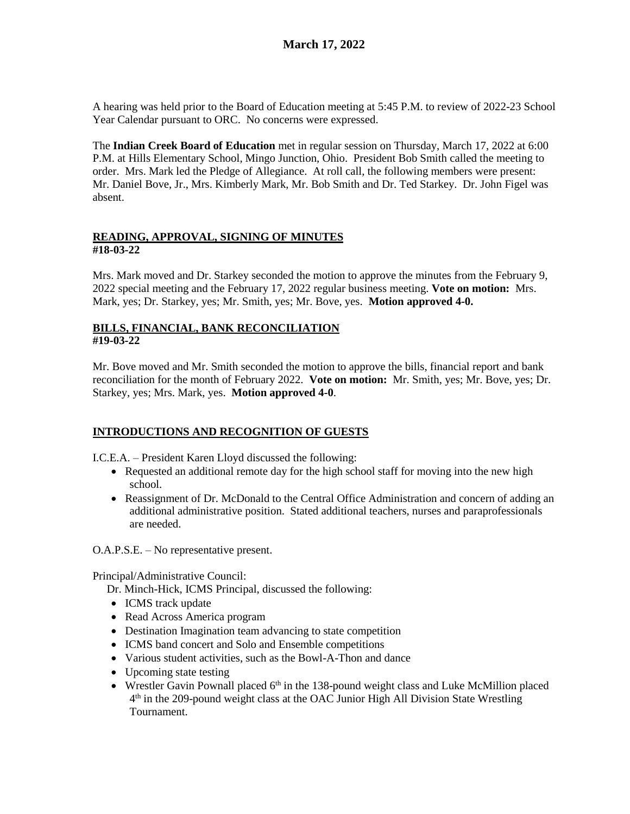A hearing was held prior to the Board of Education meeting at 5:45 P.M. to review of 2022-23 School Year Calendar pursuant to ORC. No concerns were expressed.

The **Indian Creek Board of Education** met in regular session on Thursday, March 17, 2022 at 6:00 P.M. at Hills Elementary School, Mingo Junction, Ohio. President Bob Smith called the meeting to order. Mrs. Mark led the Pledge of Allegiance. At roll call, the following members were present: Mr. Daniel Bove, Jr., Mrs. Kimberly Mark, Mr. Bob Smith and Dr. Ted Starkey. Dr. John Figel was absent.

### **READING, APPROVAL, SIGNING OF MINUTES #18-03-22**

Mrs. Mark moved and Dr. Starkey seconded the motion to approve the minutes from the February 9, 2022 special meeting and the February 17, 2022 regular business meeting. **Vote on motion:** Mrs. Mark, yes; Dr. Starkey, yes; Mr. Smith, yes; Mr. Bove, yes. **Motion approved 4-0.**

## **BILLS, FINANCIAL, BANK RECONCILIATION #19-03-22**

Mr. Bove moved and Mr. Smith seconded the motion to approve the bills, financial report and bank reconciliation for the month of February 2022. **Vote on motion:** Mr. Smith, yes; Mr. Bove, yes; Dr. Starkey, yes; Mrs. Mark, yes. **Motion approved 4-0**.

# **INTRODUCTIONS AND RECOGNITION OF GUESTS**

I.C.E.A. – President Karen Lloyd discussed the following:

- Requested an additional remote day for the high school staff for moving into the new high school.
- Reassignment of Dr. McDonald to the Central Office Administration and concern of adding an additional administrative position. Stated additional teachers, nurses and paraprofessionals are needed.

O.A.P.S.E. – No representative present.

Principal/Administrative Council:

Dr. Minch-Hick, ICMS Principal, discussed the following:

- ICMS track update
- Read Across America program
- Destination Imagination team advancing to state competition
- ICMS band concert and Solo and Ensemble competitions
- Various student activities, such as the Bowl-A-Thon and dance
- Upcoming state testing
- Wrestler Gavin Pownall placed  $6<sup>th</sup>$  in the 138-pound weight class and Luke McMillion placed 4<sup>th</sup> in the 209-pound weight class at the OAC Junior High All Division State Wrestling Tournament.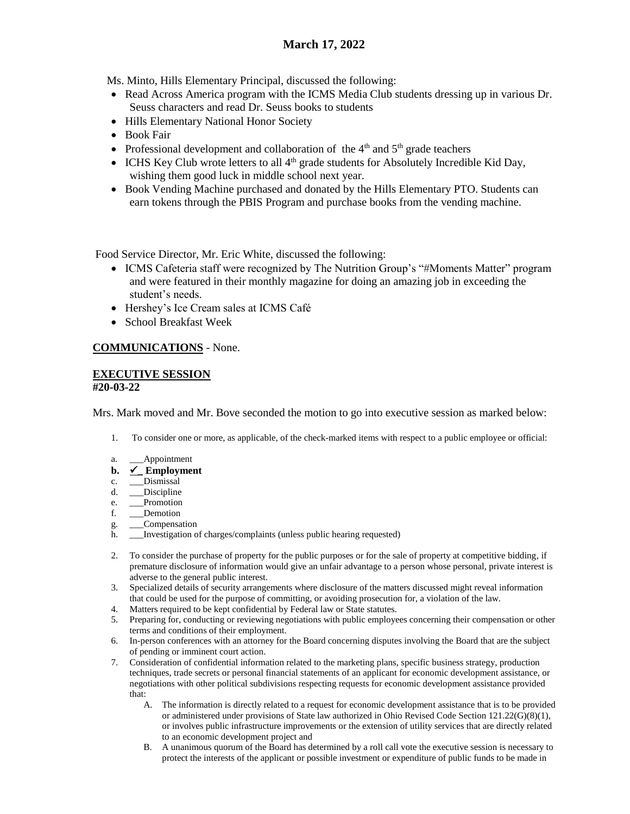# **March 17, 2022**

Ms. Minto, Hills Elementary Principal, discussed the following:

- Read Across America program with the ICMS Media Club students dressing up in various Dr. Seuss characters and read Dr. Seuss books to students
- Hills Elementary National Honor Society
- Book Fair
- Professional development and collaboration of the  $4<sup>th</sup>$  and  $5<sup>th</sup>$  grade teachers
- $\bullet$  ICHS Key Club wrote letters to all  $4<sup>th</sup>$  grade students for Absolutely Incredible Kid Day, wishing them good luck in middle school next year.
- Book Vending Machine purchased and donated by the Hills Elementary PTO. Students can earn tokens through the PBIS Program and purchase books from the vending machine.

Food Service Director, Mr. Eric White, discussed the following:

- ICMS Cafeteria staff were recognized by The Nutrition Group's "#Moments Matter" program and were featured in their monthly magazine for doing an amazing job in exceeding the student's needs.
- Hershey's Ice Cream sales at ICMS Café
- School Breakfast Week

# **COMMUNICATIONS** - None.

#### **EXECUTIVE SESSION #20-03-22**

Mrs. Mark moved and Mr. Bove seconded the motion to go into executive session as marked below:

- 1. To consider one or more, as applicable, of the check-marked items with respect to a public employee or official:
- a. \_\_\_Appointment
- **b. \_ Employment**
- c. \_\_\_Dismissal
- d. \_\_\_Discipline
- e. Promotion
- f. \_\_\_Demotion
- g. \_\_\_Compensation
- h. \_\_\_Investigation of charges/complaints (unless public hearing requested)
- 2. To consider the purchase of property for the public purposes or for the sale of property at competitive bidding, if premature disclosure of information would give an unfair advantage to a person whose personal, private interest is adverse to the general public interest.
- 3. Specialized details of security arrangements where disclosure of the matters discussed might reveal information that could be used for the purpose of committing, or avoiding prosecution for, a violation of the law.
- 4. Matters required to be kept confidential by Federal law or State statutes.
- 5. Preparing for, conducting or reviewing negotiations with public employees concerning their compensation or other terms and conditions of their employment.
- 6. In-person conferences with an attorney for the Board concerning disputes involving the Board that are the subject of pending or imminent court action.
- 7. Consideration of confidential information related to the marketing plans, specific business strategy, production techniques, trade secrets or personal financial statements of an applicant for economic development assistance, or negotiations with other political subdivisions respecting requests for economic development assistance provided that:
	- A. The information is directly related to a request for economic development assistance that is to be provided or administered under provisions of State law authorized in Ohio Revised Code Section 121.22(G)(8)(1), or involves public infrastructure improvements or the extension of utility services that are directly related to an economic development project and
	- B. A unanimous quorum of the Board has determined by a roll call vote the executive session is necessary to protect the interests of the applicant or possible investment or expenditure of public funds to be made in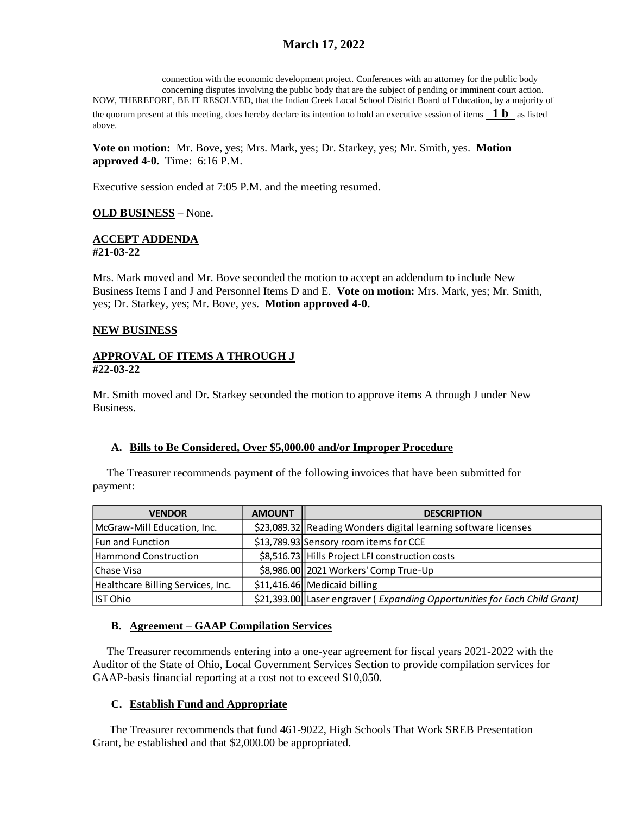# **March 17, 2022**

connection with the economic development project. Conferences with an attorney for the public body concerning disputes involving the public body that are the subject of pending or imminent court action. NOW, THEREFORE, BE IT RESOLVED, that the Indian Creek Local School District Board of Education, by a majority of the quorum present at this meeting, does hereby declare its intention to hold an executive session of items **1 b** as listed above.

**Vote on motion:** Mr. Bove, yes; Mrs. Mark, yes; Dr. Starkey, yes; Mr. Smith, yes. **Motion approved 4-0.** Time: 6:16 P.M.

Executive session ended at 7:05 P.M. and the meeting resumed.

### **OLD BUSINESS** – None.

#### **ACCEPT ADDENDA #21-03-22**

Mrs. Mark moved and Mr. Bove seconded the motion to accept an addendum to include New Business Items I and J and Personnel Items D and E. **Vote on motion:** Mrs. Mark, yes; Mr. Smith, yes; Dr. Starkey, yes; Mr. Bove, yes. **Motion approved 4-0.**

#### **NEW BUSINESS**

#### **APPROVAL OF ITEMS A THROUGH J #22-03-22**

Mr. Smith moved and Dr. Starkey seconded the motion to approve items A through J under New Business.

### **A. Bills to Be Considered, Over \$5,000.00 and/or Improper Procedure**

 The Treasurer recommends payment of the following invoices that have been submitted for payment:

| <b>VENDOR</b>                     | <b>AMOUNT</b> | <b>DESCRIPTION</b>                                                        |
|-----------------------------------|---------------|---------------------------------------------------------------------------|
| McGraw-Mill Education, Inc.       |               | \$23,089.32 Reading Wonders digital learning software licenses            |
| Fun and Function                  |               | \$13,789.93 Sensory room items for CCE                                    |
| Hammond Construction              |               | \$8,516.73 Hills Project LFI construction costs                           |
| lChase Visa                       |               | \$8,986.00   2021 Workers' Comp True-Up                                   |
| Healthcare Billing Services, Inc. |               | $$11,416.46$ Medicaid billing                                             |
| IST Ohio                          |               | \$21,393.00 Laser engraver (Expanding Opportunities for Each Child Grant) |

### **B. Agreement – GAAP Compilation Services**

 The Treasurer recommends entering into a one-year agreement for fiscal years 2021-2022 with the Auditor of the State of Ohio, Local Government Services Section to provide compilation services for GAAP-basis financial reporting at a cost not to exceed \$10,050.

### **C. Establish Fund and Appropriate**

 The Treasurer recommends that fund 461-9022, High Schools That Work SREB Presentation Grant, be established and that \$2,000.00 be appropriated.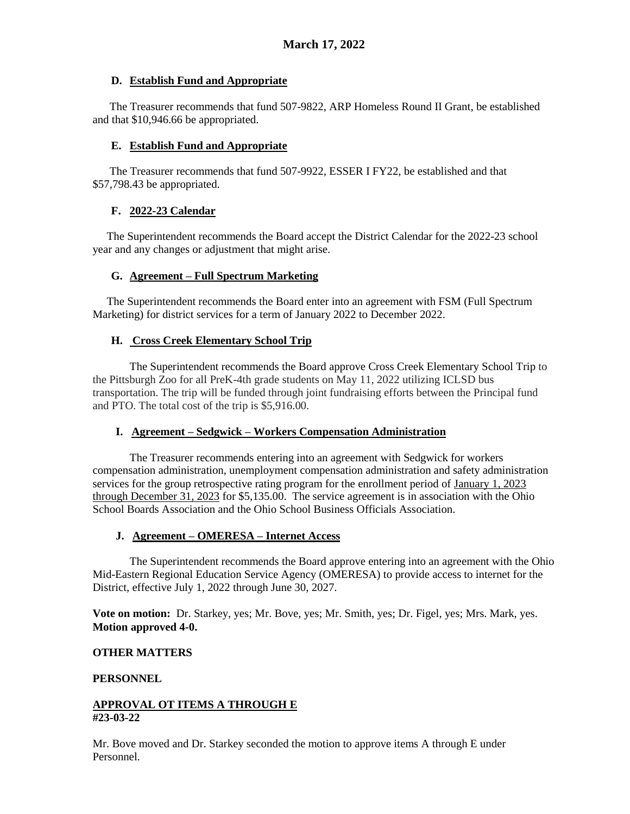### **D. Establish Fund and Appropriate**

 The Treasurer recommends that fund 507-9822, ARP Homeless Round II Grant, be established and that \$10,946.66 be appropriated.

### **E. Establish Fund and Appropriate**

 The Treasurer recommends that fund 507-9922, ESSER I FY22, be established and that \$57,798.43 be appropriated.

## **F. 2022-23 Calendar**

 The Superintendent recommends the Board accept the District Calendar for the 2022-23 school year and any changes or adjustment that might arise.

## **G. Agreement – Full Spectrum Marketing**

 The Superintendent recommends the Board enter into an agreement with FSM (Full Spectrum Marketing) for district services for a term of January 2022 to December 2022.

## **H. Cross Creek Elementary School Trip**

The Superintendent recommends the Board approve Cross Creek Elementary School Trip to the Pittsburgh Zoo for all PreK-4th grade students on May 11, 2022 utilizing ICLSD bus transportation. The trip will be funded through joint fundraising efforts between the Principal fund and PTO. The total cost of the trip is \$5,916.00.

# **I. Agreement – Sedgwick – Workers Compensation Administration**

The Treasurer recommends entering into an agreement with Sedgwick for workers compensation administration, unemployment compensation administration and safety administration services for the group retrospective rating program for the enrollment period of January 1, 2023 through December 31, 2023 for \$5,135.00. The service agreement is in association with the Ohio School Boards Association and the Ohio School Business Officials Association.

### **J. Agreement – OMERESA – Internet Access**

The Superintendent recommends the Board approve entering into an agreement with the Ohio Mid-Eastern Regional Education Service Agency (OMERESA) to provide access to internet for the District, effective July 1, 2022 through June 30, 2027.

**Vote on motion:** Dr. Starkey, yes; Mr. Bove, yes; Mr. Smith, yes; Dr. Figel, yes; Mrs. Mark, yes. **Motion approved 4-0.**

# **OTHER MATTERS**

### **PERSONNEL**

### **APPROVAL OT ITEMS A THROUGH E #23-03-22**

Mr. Bove moved and Dr. Starkey seconded the motion to approve items A through E under Personnel.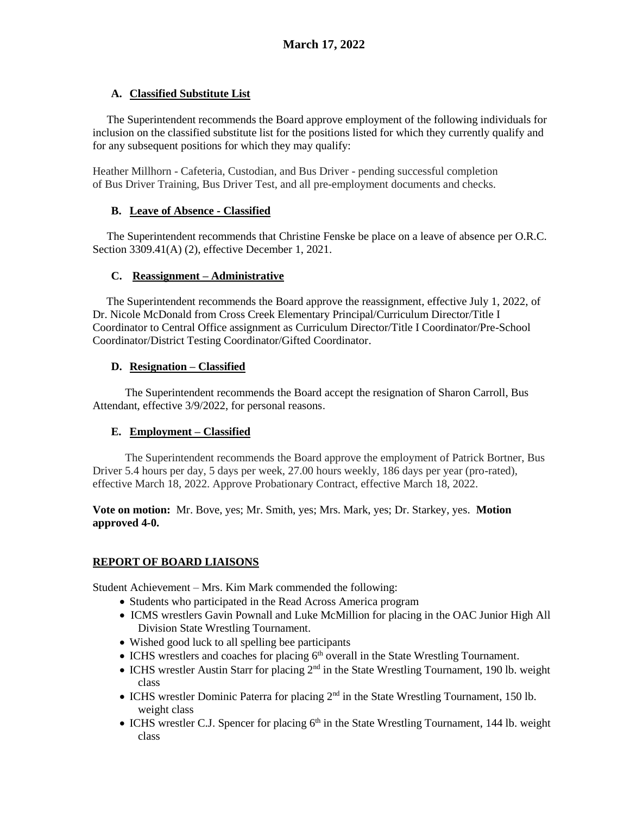# **A. Classified Substitute List**

 The Superintendent recommends the Board approve employment of the following individuals for inclusion on the classified substitute list for the positions listed for which they currently qualify and for any subsequent positions for which they may qualify:

Heather Millhorn - Cafeteria, Custodian, and Bus Driver - pending successful completion of Bus Driver Training, Bus Driver Test, and all pre-employment documents and checks.

# **B. Leave of Absence - Classified**

 The Superintendent recommends that Christine Fenske be place on a leave of absence per O.R.C. Section 3309.41(A) (2), effective December 1, 2021.

# **C. Reassignment – Administrative**

The Superintendent recommends the Board approve the reassignment, effective July 1, 2022, of Dr. Nicole McDonald from Cross Creek Elementary Principal/Curriculum Director/Title I Coordinator to Central Office assignment as Curriculum Director/Title I Coordinator/Pre-School Coordinator/District Testing Coordinator/Gifted Coordinator.

# **D. Resignation – Classified**

The Superintendent recommends the Board accept the resignation of Sharon Carroll, Bus Attendant, effective 3/9/2022, for personal reasons.

# **E. Employment – Classified**

The Superintendent recommends the Board approve the employment of Patrick Bortner, Bus Driver 5.4 hours per day, 5 days per week, 27.00 hours weekly, 186 days per year (pro-rated), effective March 18, 2022. Approve Probationary Contract, effective March 18, 2022.

**Vote on motion:** Mr. Bove, yes; Mr. Smith, yes; Mrs. Mark, yes; Dr. Starkey, yes. **Motion approved 4-0.**

# **REPORT OF BOARD LIAISONS**

Student Achievement – Mrs. Kim Mark commended the following:

- Students who participated in the Read Across America program
- ICMS wrestlers Gavin Pownall and Luke McMillion for placing in the OAC Junior High All Division State Wrestling Tournament.
- Wished good luck to all spelling bee participants
- $\bullet$  ICHS wrestlers and coaches for placing 6<sup>th</sup> overall in the State Wrestling Tournament.
- ICHS wrestler Austin Starr for placing  $2<sup>nd</sup>$  in the State Wrestling Tournament, 190 lb. weight class
- ICHS wrestler Dominic Paterra for placing  $2<sup>nd</sup>$  in the State Wrestling Tournament, 150 lb. weight class
- ICHS wrestler C.J. Spencer for placing  $6<sup>th</sup>$  in the State Wrestling Tournament, 144 lb. weight class